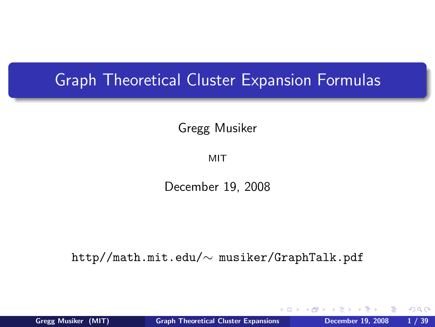#### Graph Theoretical Cluster Expansion Formulas

Gregg Musiker

MIT

December 19, 2008

http//math.mit.edu/∼ musiker/GraphTalk.pdf

<span id="page-0-0"></span> $QQ$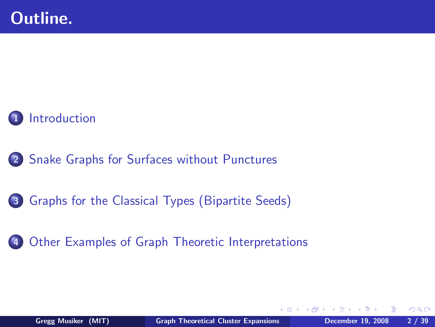

- 2 [Snake Graphs for Surfaces without Punctures](#page-16-0)
- 3 [Graphs for the Classical Types \(Bipartite Seeds\)](#page-52-0)
- 4 [Other Examples of Graph Theoretic Interpretations](#page-61-0)

<span id="page-1-0"></span> $\Omega$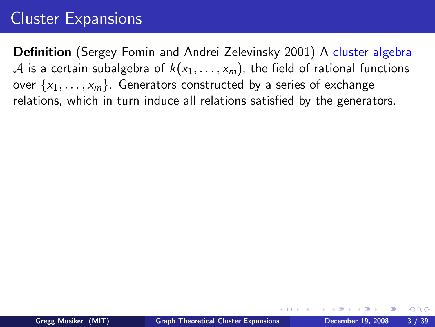## Cluster Expansions

Definition (Sergey Fomin and Andrei Zelevinsky 2001) A cluster algebra A is a certain subalgebra of  $k(x_1, \ldots, x_m)$ , the field of rational functions over  $\{x_1, \ldots, x_m\}$ . Generators constructed by a series of exchange relations, which in turn induce all relations satisfied by the generators.

<span id="page-2-0"></span> $299$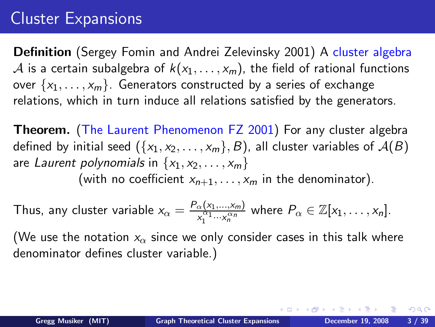## Cluster Expansions

Definition (Sergey Fomin and Andrei Zelevinsky 2001) A cluster algebra A is a certain subalgebra of  $k(x_1, \ldots, x_m)$ , the field of rational functions over  $\{x_1, \ldots, x_m\}$ . Generators constructed by a series of exchange relations, which in turn induce all relations satisfied by the generators.

Theorem. (The Laurent Phenomenon FZ 2001) For any cluster algebra defined by initial seed  $({x_1, x_2, \ldots, x_m}, B)$ , all cluster variables of  $A(B)$ are Laurent polynomials in  $\{x_1, x_2, \ldots, x_m\}$ (with no coefficient  $x_{n+1}, \ldots, x_m$  in the denominator).

Thus, any cluster variable 
$$
x_{\alpha} = \frac{P_{\alpha}(x_1,...,x_m)}{x_1^{\alpha_1}...x_n^{\alpha_n}}
$$
 where  $P_{\alpha} \in \mathbb{Z}[x_1,...,x_n]$ .

(We use the notation  $x_{\alpha}$  since we only consider cases in this talk where denominator defines cluster variable.)

<span id="page-3-0"></span> $\Omega$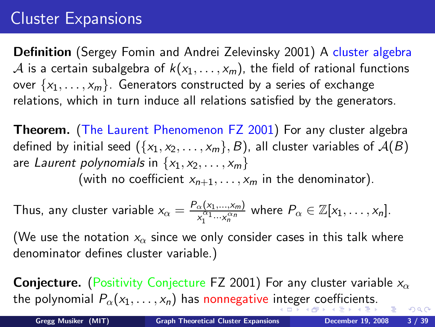## Cluster Expansions

Definition (Sergey Fomin and Andrei Zelevinsky 2001) A cluster algebra A is a certain subalgebra of  $k(x_1, \ldots, x_m)$ , the field of rational functions over  $\{x_1, \ldots, x_m\}$ . Generators constructed by a series of exchange relations, which in turn induce all relations satisfied by the generators.

Theorem. (The Laurent Phenomenon FZ 2001) For any cluster algebra defined by initial seed  $({x_1, x_2, \ldots, x_m}, B)$ , all cluster variables of  $A(B)$ are Laurent polynomials in  $\{x_1, x_2, \ldots, x_m\}$ (with no coefficient  $x_{n+1}, \ldots, x_m$  in the denominator).

Thus, any cluster variable 
$$
x_{\alpha} = \frac{P_{\alpha}(x_1,...,x_m)}{x_1^{\alpha_1}...x_n^{\alpha_n}}
$$
 where  $P_{\alpha} \in \mathbb{Z}[x_1,...,x_n]$ .

(We use the notation  $x_{\alpha}$  since we only consider cases in this talk where denominator defines cluster variable.)

<span id="page-4-0"></span>**Conjecture.** (Positivity Conjecture FZ 2001) For any cluster variable  $x_{\alpha}$ the p[o](#page-5-0)lynom[i](#page-16-0)al  $P_{\alpha}(x_1,\ldots,x_n)$  $P_{\alpha}(x_1,\ldots,x_n)$  $P_{\alpha}(x_1,\ldots,x_n)$  $P_{\alpha}(x_1,\ldots,x_n)$  has nonnegative i[nt](#page-3-0)e[g](#page-5-0)[er](#page-1-0) [c](#page-4-0)o[e](#page-0-0)[ffi](#page-1-0)[c](#page-15-0)i[en](#page-0-0)ts[.](#page-16-0)  $2990$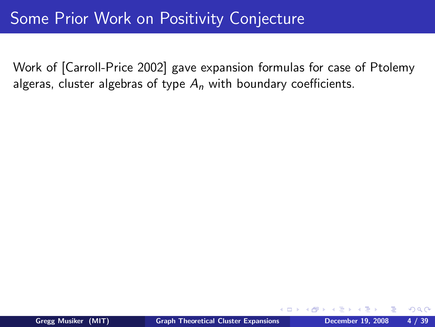<span id="page-5-0"></span>つくへ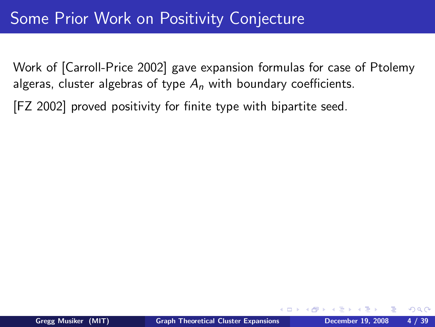#### Some Prior Work on Positivity Conjecture

Work of [Carroll-Price 2002] gave expansion formulas for case of Ptolemy algeras, cluster algebras of type  $A_n$  with boundary coefficients.

[FZ 2002] proved positivity for finite type with bipartite seed.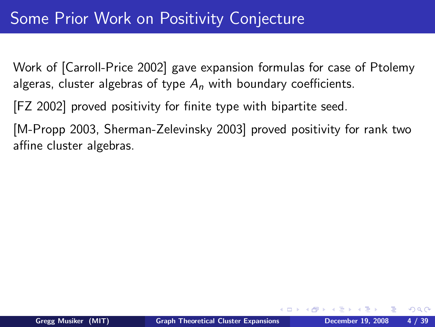[FZ 2002] proved positivity for finite type with bipartite seed.

[M-Propp 2003, Sherman-Zelevinsky 2003] proved positivity for rank two affine cluster algebras.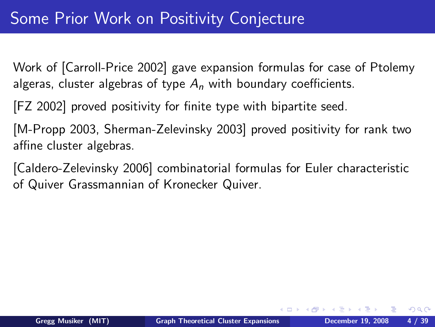[FZ 2002] proved positivity for finite type with bipartite seed.

[M-Propp 2003, Sherman-Zelevinsky 2003] proved positivity for rank two affine cluster algebras.

[Caldero-Zelevinsky 2006] combinatorial formulas for Euler characteristic of Quiver Grassmannian of Kronecker Quiver.

 $\Omega$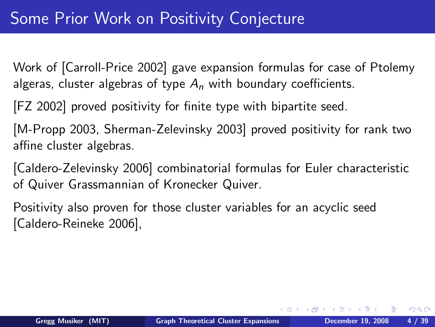[FZ 2002] proved positivity for finite type with bipartite seed.

[M-Propp 2003, Sherman-Zelevinsky 2003] proved positivity for rank two affine cluster algebras.

[Caldero-Zelevinsky 2006] combinatorial formulas for Euler characteristic of Quiver Grassmannian of Kronecker Quiver.

Positivity also proven for those cluster variables for an acyclic seed [Caldero-Reineke 2006],

 $\Omega$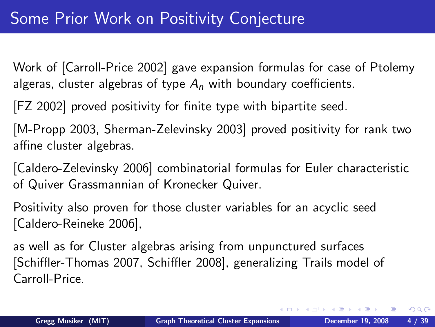[FZ 2002] proved positivity for finite type with bipartite seed.

[M-Propp 2003, Sherman-Zelevinsky 2003] proved positivity for rank two affine cluster algebras.

[Caldero-Zelevinsky 2006] combinatorial formulas for Euler characteristic of Quiver Grassmannian of Kronecker Quiver.

Positivity also proven for those cluster variables for an acyclic seed [Caldero-Reineke 2006],

as well as for Cluster algebras arising from unpunctured surfaces [Schiffler-Thomas 2007, Schiffler 2008], generalizing Trails model of Carroll-Price.

<span id="page-10-0"></span>∢ロト (何) (ヨ) (ヨ)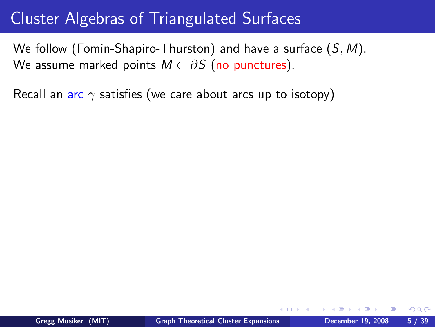We follow (Fomin-Shapiro-Thurston) and have a surface (S, M). We assume marked points  $M \subset \partial S$  (no punctures).

Recall an arc  $\gamma$  satisfies (we care about arcs up to isotopy)

<span id="page-11-0"></span> $\Omega$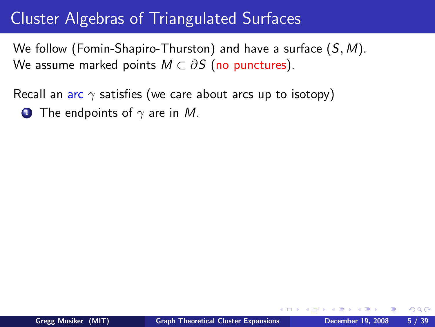We follow (Fomin-Shapiro-Thurston) and have a surface  $(S, M)$ . We assume marked points  $M \subset \partial S$  (no punctures).

Recall an arc  $\gamma$  satisfies (we care about arcs up to isotopy)

**1** The endpoints of  $\gamma$  are in M.

 $\Omega$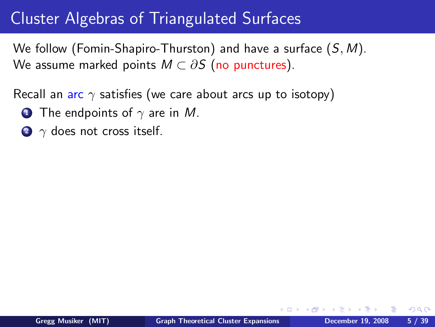We follow (Fomin-Shapiro-Thurston) and have a surface  $(S, M)$ . We assume marked points  $M \subset \partial S$  (no punctures).

Recall an arc  $\gamma$  satisfies (we care about arcs up to isotopy)

- **1** The endpoints of  $\gamma$  are in M.
- $\bullet$   $\gamma$  does not cross itself.

つくへ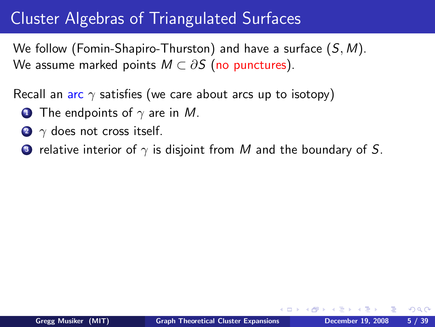We follow (Fomin-Shapiro-Thurston) and have a surface  $(S, M)$ . We assume marked points  $M \subset \partial S$  (no punctures).

Recall an arc  $\gamma$  satisfies (we care about arcs up to isotopy)

- **1** The endpoints of  $\gamma$  are in M.
- $\bullet$   $\gamma$  does not cross itself.
- **3** relative interior of  $\gamma$  is disjoint from M and the boundary of S.

<span id="page-14-0"></span>つくへ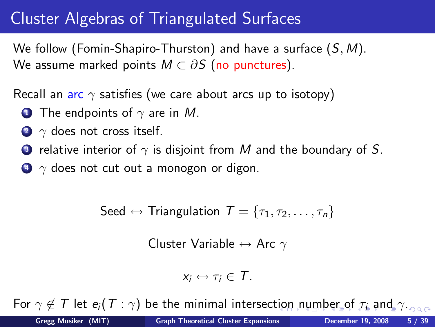We follow (Fomin-Shapiro-Thurston) and have a surface  $(S, M)$ . We assume marked points  $M \subset \partial S$  (no punctures).

Recall an arc  $\gamma$  satisfies (we care about arcs up to isotopy)

- **1** The endpoints of  $\gamma$  are in M.
- $2 \gamma$  does not cross itself.
- **3** relative interior of  $\gamma$  is disjoint from M and the boundary of S.

 $\bullet$   $\gamma$  does not cut out a monogon or digon.

$$
\mathsf{Seed} \leftrightarrow \mathsf{Triangulation}\ \mathcal{T} = \{\tau_1, \tau_2, \ldots, \tau_n\}
$$

Cluster Variable  $\leftrightarrow$  Arc  $\gamma$ 

<span id="page-15-0"></span>
$$
x_i \leftrightarrow \tau_i \in \mathcal{T}.
$$

Fo[r](#page-1-0)  $\gamma \notin \mathcal{T}$  $\gamma \notin \mathcal{T}$  $\gamma \notin \mathcal{T}$  $\gamma \notin \mathcal{T}$  $\gamma \notin \mathcal{T}$  l[e](#page-0-0)t  $e_i(T : \gamma)$  be the minimal intersec[tio](#page-14-0)[n n](#page-16-0)[u](#page-10-0)m[b](#page-16-0)er [o](#page-15-0)[f](#page-16-0)  $\tau_i$  a[nd](#page-0-0)  $\gamma_{i}$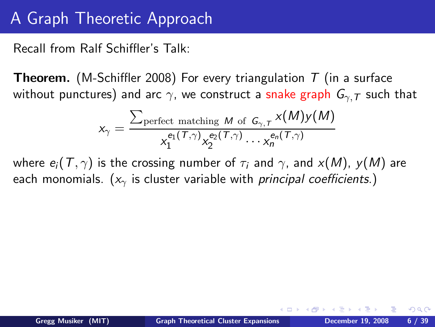#### A Graph Theoretic Approach

Recall from Ralf Schiffler's Talk:

**Theorem.** (M-Schiffler 2008) For every triangulation  $T$  (in a surface without punctures) and arc  $\gamma$ , we construct a snake graph  $G_{\gamma,T}$  such that

<span id="page-16-0"></span>
$$
x_{\gamma} = \frac{\sum_{\text{perfect matching } M \text{ of } G_{\gamma, T}} x(M) y(M)}{x_1^{e_1(\mathcal{T}, \gamma)} x_2^{e_2(\mathcal{T}, \gamma)} \cdots x_n^{e_n(\mathcal{T}, \gamma)}}
$$

where  $e_i(T, \gamma)$  is the crossing number of  $\tau_i$  and  $\gamma$ , and  $x(M)$ ,  $y(M)$  are each monomials. ( $x<sub>y</sub>$  is cluster variable with *principal coefficients.*)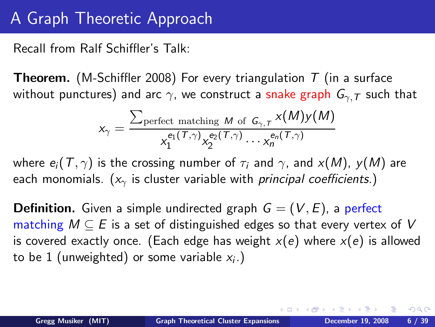#### A Graph Theoretic Approach

Recall from Ralf Schiffler's Talk:

**Theorem.** (M-Schiffler 2008) For every triangulation  $T$  (in a surface without punctures) and arc  $\gamma$ , we construct a snake graph  $G_{\gamma,T}$  such that

$$
x_{\gamma} = \frac{\sum_{\text{perfect matching } M \text{ of } G_{\gamma, T}} x(M) y(M)}{x_1^{e_1(\mathcal{T}, \gamma)} x_2^{e_2(\mathcal{T}, \gamma)} \cdots x_n^{e_n(\mathcal{T}, \gamma)}}
$$

where  $e_i(T, \gamma)$  is the crossing number of  $\tau_i$  and  $\gamma$ , and  $x(M)$ ,  $y(M)$  are each monomials. ( $x<sub>y</sub>$  is cluster variable with *principal coefficients.*)

**Definition.** Given a simple undirected graph  $G = (V, E)$ , a perfect matching  $M \subseteq E$  is a set of distinguished edges so that every vertex of V is covered exactly once. (Each edge has weight  $x(e)$  where  $x(e)$  is allowed to be  $1$  (unweighted) or some variable  $x_i$ .)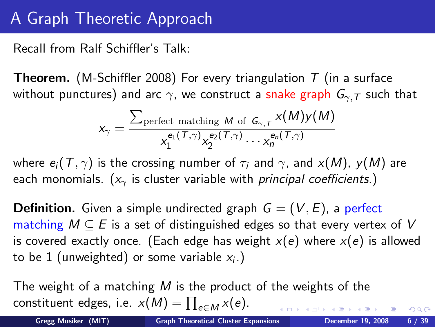### A Graph Theoretic Approach

Recall from Ralf Schiffler's Talk:

**Theorem.** (M-Schiffler 2008) For every triangulation  $T$  (in a surface without punctures) and arc  $\gamma$ , we construct a snake graph  $G_{\gamma,T}$  such that

$$
x_{\gamma} = \frac{\sum_{\text{perfect matching } M \text{ of } G_{\gamma, T}} x(M) y(M)}{x_1^{e_1(\mathcal{T}, \gamma)} x_2^{e_2(\mathcal{T}, \gamma)} \cdots x_n^{e_n(\mathcal{T}, \gamma)}}
$$

where  $e_i(T, \gamma)$  is the crossing number of  $\tau_i$  and  $\gamma$ , and  $x(M)$ ,  $y(M)$  are each monomials. ( $x<sub>y</sub>$  is cluster variable with *principal coefficients.*)

**Definition.** Given a simple undirected graph  $G = (V, E)$ , a perfect matching  $M \subseteq E$  is a set of distinguished edges so that every vertex of V is covered exactly once. (Each edge has weight  $x(e)$  where  $x(e)$  is allowed to be  $1$  (unweighted) or some variable  $x_i$ .)

The weight of a matching M is the product of the weights of the constituent edges, i.e.  $x(M) = \prod_{e \in M} x(e)$ .

 $2990$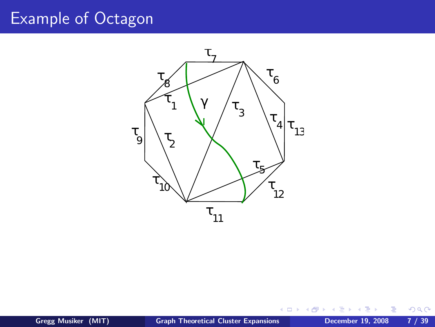#### Example of Octagon



**€ □ >** 

同

×. × Ε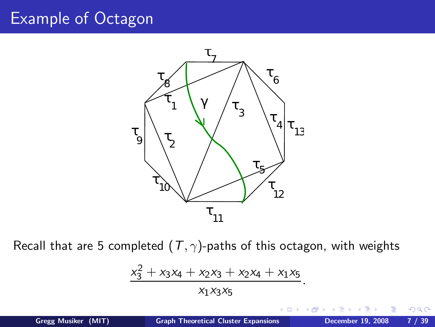### Example of Octagon



Recall that are 5 completed  $(T, \gamma)$ -paths of this octagon, with weights

$$
\frac{x_3^2 + x_3x_4 + x_2x_3 + x_2x_4 + x_1x_5}{x_1x_3x_5}.
$$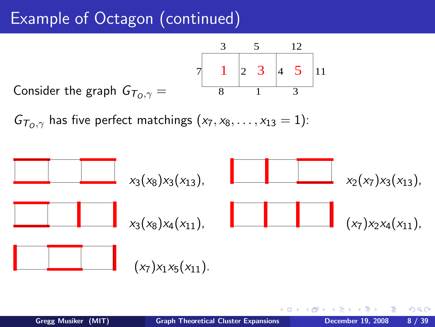## Example of Octagon (continued)

Consider the graph  $G_{T_0,\gamma} =$ 5 12 1 3  $\begin{array}{|c|c|c|c|c|c|c|c|} \hline 1 & 2 & 3 & 4 & 5 & 11 \end{array}$ 3 8

 $G_{\tau_0,\gamma}$  has five perfect matchings  $(x_7, x_8, \ldots, x_{13} = 1)$ :

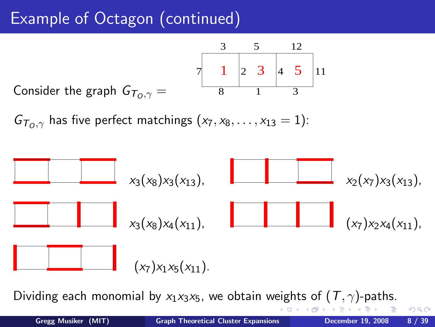## Example of Octagon (continued)

Consider the graph  $G_{T_0, \gamma} =$ 5 12 1 3  $\begin{array}{|c|c|c|c|c|c|c|c|} \hline 1 & 2 & 3 & 4 & 5 & 11 \ \hline \end{array}$ 3 8

 $G_{\tau_{\alpha},\gamma}$  has five perfect matchings  $(x_7, x_8, \ldots, x_{13} = 1)$ :



Dividing each monomial by  $x_1x_3x_5$ , we obtain weights of  $(T, \gamma)$ -paths.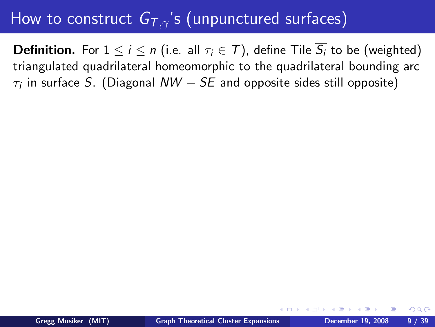**Definition.** For  $1 \le i \le n$  (i.e. all  $\tau_i \in \mathcal{T}$ ), define Tile  $\overline{S_i}$  to be (weighted) triangulated quadrilateral homeomorphic to the quadrilateral bounding arc  $\tau_i$  in surface  $S.$  (Diagonal  $\mathcal{N} \mathcal{W} - SE$  and opposite sides still opposite)

つくへ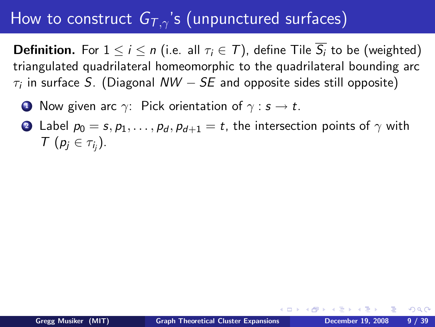**Definition.** For  $1 \le i \le n$  (i.e. all  $\tau_i \in \mathcal{T}$ ), define Tile  $\overline{S_i}$  to be (weighted) triangulated quadrilateral homeomorphic to the quadrilateral bounding arc  $\tau_i$  in surface  $S.$  (Diagonal  $\mathcal{N} \mathcal{W} - SE$  and opposite sides still opposite)

- **1** Now given arc  $\gamma$ : Pick orientation of  $\gamma : s \to t$ .
- 2 Label  $p_0 = s, p_1, \ldots, p_d, p_{d+1} = t$ , the intersection points of  $\gamma$  with  $\tau(p_j \in \tau_{i_j}).$

 $299$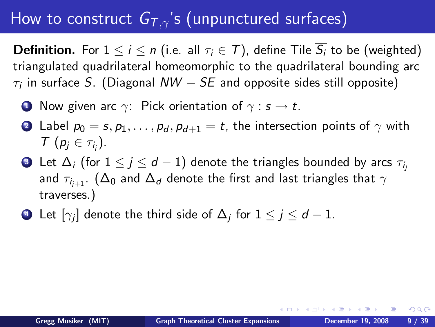**Definition.** For  $1 \le i \le n$  (i.e. all  $\tau_i \in \mathcal{T}$ ), define Tile  $\overline{S_i}$  to be (weighted) triangulated quadrilateral homeomorphic to the quadrilateral bounding arc  $\tau_i$  in surface  $S.$  (Diagonal  $\mathcal{N} \mathcal{W} - SE$  and opposite sides still opposite)

- **1** Now given arc  $\gamma$ : Pick orientation of  $\gamma : s \to t$ .
- 2 Label  $p_0 = s, p_1, \ldots, p_d, p_{d+1} = t$ , the intersection points of  $\gamma$  with  $\tau(p_j \in \tau_{i_j}).$
- **3** Let  $\Delta_i$  (for  $1 \leq j \leq d-1$ ) denote the triangles bounded by arcs  $\tau_i$ and  $\tau_{i_{i+1}}$ . ( $\Delta_0$  and  $\Delta_d$  denote the first and last triangles that  $\gamma$ traverses.)
- $\bullet$  Let  $[\gamma_j]$  denote the third side of  $\Delta_j$  for  $1\leq j\leq d-1.$

 $299$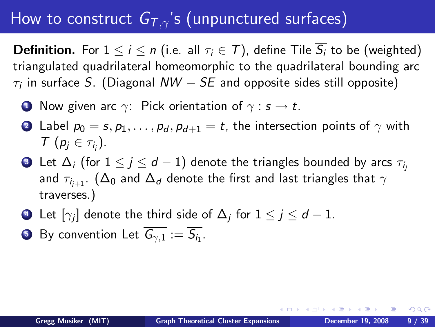**Definition.** For  $1 \le i \le n$  (i.e. all  $\tau_i \in \mathcal{T}$ ), define Tile  $\overline{S_i}$  to be (weighted) triangulated quadrilateral homeomorphic to the quadrilateral bounding arc  $\tau_i$  in surface  $S.$  (Diagonal  $\mathcal{N} \mathcal{W} - SE$  and opposite sides still opposite)

- **1** Now given arc  $\gamma$ : Pick orientation of  $\gamma : s \to t$ .
- 2 Label  $p_0 = s, p_1, \ldots, p_d, p_{d+1} = t$ , the intersection points of  $\gamma$  with  $\tau(p_j \in \tau_{i_j}).$
- Let  $\Delta_i$  (for  $1 \leq j \leq d-1$ ) denote the triangles bounded by arcs  $\tau_{i_j}$ and  $\tau_{i_{i+1}}$ . ( $\Delta_0$  and  $\Delta_d$  denote the first and last triangles that  $\gamma$ traverses.)
- $\bullet$  Let  $[\gamma_j]$  denote the third side of  $\Delta_j$  for  $1\leq j\leq d-1.$
- $\bullet$  By convention Let  $G_{\gamma,1}:=S_{i_1}.$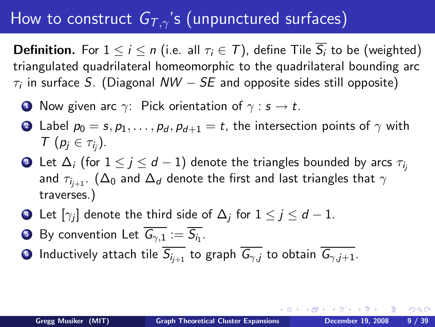**Definition.** For  $1 \le i \le n$  (i.e. all  $\tau_i \in \mathcal{T}$ ), define Tile  $\overline{S_i}$  to be (weighted) triangulated quadrilateral homeomorphic to the quadrilateral bounding arc  $\tau_i$  in surface  $S.$  (Diagonal  $\mathcal{N} \mathcal{W} - SE$  and opposite sides still opposite)

- **1** Now given arc  $\gamma$ : Pick orientation of  $\gamma : s \to t$ .
- 2 Label  $p_0 = s, p_1, \ldots, p_d, p_{d+1} = t$ , the intersection points of  $\gamma$  with  $\tau(p_j \in \tau_{i_j}).$
- Let  $\Delta_i$  (for  $1 \leq j \leq d-1$ ) denote the triangles bounded by arcs  $\tau_{i_j}$ and  $\tau_{i_{i+1}}$ . ( $\Delta_0$  and  $\Delta_d$  denote the first and last triangles that  $\gamma$ traverses.)
- $\bullet$  Let  $[\gamma_j]$  denote the third side of  $\Delta_j$  for  $1\leq j\leq d-1.$
- $\bullet$  By convention Let  $G_{\gamma,1}:=S_{i_1}.$
- **•** Inductively attach tile  $\overline{S_{i_{i+1}}}$  to graph  $\overline{G_{\gamma,i}}$  to obtain  $\overline{G_{\gamma,i+1}}$ .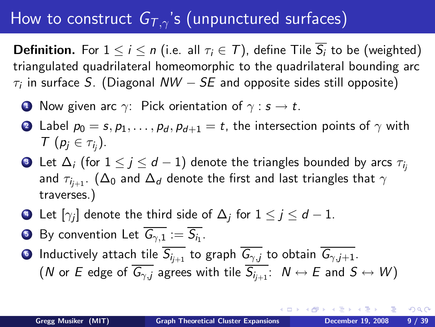**Definition.** For  $1 \le i \le n$  (i.e. all  $\tau_i \in \mathcal{T}$ ), define Tile  $\overline{S_i}$  to be (weighted) triangulated quadrilateral homeomorphic to the quadrilateral bounding arc  $\tau_i$  in surface  $S.$  (Diagonal  $\mathcal{N} \mathcal{W} - SE$  and opposite sides still opposite)

- **1** Now given arc  $\gamma$ : Pick orientation of  $\gamma : s \to t$ .
- 2 Label  $p_0 = s, p_1, \ldots, p_d, p_{d+1} = t$ , the intersection points of  $\gamma$  with  $\tau(p_j \in \tau_{i_j}).$
- Let  $\Delta_i$  (for  $1 \leq j \leq d-1$ ) denote the triangles bounded by arcs  $\tau_{i_j}$ and  $\tau_{i_{i+1}}$ . ( $\Delta_0$  and  $\Delta_d$  denote the first and last triangles that  $\gamma$ traverses.)
- $\bullet$  Let  $[\gamma_j]$  denote the third side of  $\Delta_j$  for  $1\leq j\leq d-1.$
- $\bullet$  By convention Let  $G_{\gamma,1}:=S_{i_1}.$
- **Inductively attach tile**  $\overline{S_{i_{i+1}}}$  **to graph**  $\overline{G_{\gamma,i}}$  **to obtain**  $\overline{G_{\gamma,i+1}}$ **.** (N or E edge of  $\overline{G_{\gamma,j}}$  agrees with tile  $\overline{S_{i_{i+1}}}$ :  $N \leftrightarrow E$  and  $S \leftrightarrow W$ )

∢ロト (何) (ヨ) (ヨ)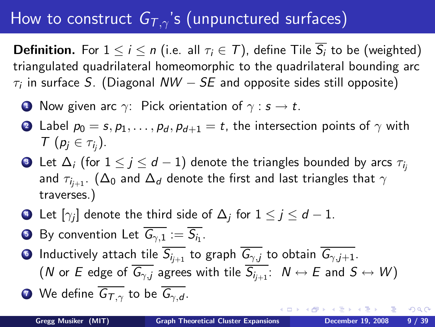**Definition.** For  $1 \le i \le n$  (i.e. all  $\tau_i \in \mathcal{T}$ ), define Tile  $\overline{S_i}$  to be (weighted) triangulated quadrilateral homeomorphic to the quadrilateral bounding arc  $\tau_i$  in surface  $S.$  (Diagonal  $\mathcal{N} \mathcal{W} - SE$  and opposite sides still opposite)

- **1** Now given arc  $\gamma$ : Pick orientation of  $\gamma : s \to t$ .
- 2 Label  $p_0 = s, p_1, \ldots, p_d, p_{d+1} = t$ , the intersection points of  $\gamma$  with  $\tau(p_j \in \tau_{i_j}).$
- Let  $\Delta_i$  (for  $1 \leq j \leq d-1$ ) denote the triangles bounded by arcs  $\tau_{i_j}$ and  $\tau_{i_{i+1}}$ . ( $\Delta_0$  and  $\Delta_d$  denote the first and last triangles that  $\gamma$ traverses.)
- $\bullet$  Let  $[\gamma_j]$  denote the third side of  $\Delta_j$  for  $1\leq j\leq d-1.$
- $\bullet$  By convention Let  $G_{\gamma,1}:=S_{i_1}.$
- **Inductively attach tile**  $\overline{S_{i_{i+1}}}$  **to graph**  $\overline{G_{\gamma,i}}$  **to obtain**  $\overline{G_{\gamma,i+1}}$ **.** (N or E edge of  $\overline{G_{\gamma,j}}$  agrees with tile  $\overline{S_{i_{i+1}}}$ :  $N \leftrightarrow E$  and  $S \leftrightarrow W$ )

**1** We define 
$$
\overline{G_{T,\gamma}}
$$
 to be  $\overline{G_{\gamma,d}}$ .

∢ロト (何) (ヨ) (ヨ)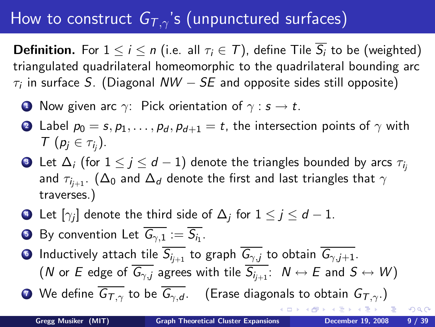**Definition.** For  $1 \le i \le n$  (i.e. all  $\tau_i \in \mathcal{T}$ ), define Tile  $\overline{S_i}$  to be (weighted) triangulated quadrilateral homeomorphic to the quadrilateral bounding arc  $\tau_i$  in surface  $S.$  (Diagonal  $\mathcal{N} \mathcal{W} - SE$  and opposite sides still opposite)

- **1** Now given arc  $\gamma$ : Pick orientation of  $\gamma : s \to t$ .
- 2 Label  $p_0 = s, p_1, \ldots, p_d, p_{d+1} = t$ , the intersection points of  $\gamma$  with  $\tau(p_j \in \tau_{i_j}).$
- Let  $\Delta_i$  (for  $1 \leq j \leq d-1$ ) denote the triangles bounded by arcs  $\tau_{i_j}$ and  $\tau_{i_{i+1}}$ . ( $\Delta_0$  and  $\Delta_d$  denote the first and last triangles that  $\gamma$ traverses.)
- $\bullet$  Let  $[\gamma_j]$  denote the third side of  $\Delta_j$  for  $1\leq j\leq d-1.$
- $\bullet$  By convention Let  $G_{\gamma,1}:=S_{i_1}.$
- **Inductively attach tile**  $\overline{S_{i_{i+1}}}$  **to graph**  $\overline{G_{\gamma,i}}$  **to obtain**  $\overline{G_{\gamma,i+1}}$ **.** (N or E edge of  $\overline{G_{\gamma,j}}$  agrees with tile  $\overline{S_{i_{i+1}}}$ :  $N \leftrightarrow E$  and  $S \leftrightarrow W$ )

**7** We define  $\overline{G_{T,\gamma}}$  to be  $\overline{G_{\gamma,d}}$ . (Erase diagonals to obtain  $G_{T,\gamma}$ .)

– ≊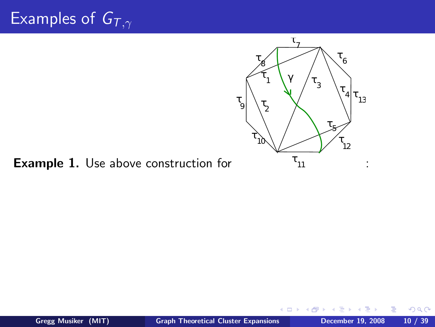

 $\leftarrow$   $\Box$ 

Example 1. Use above construction for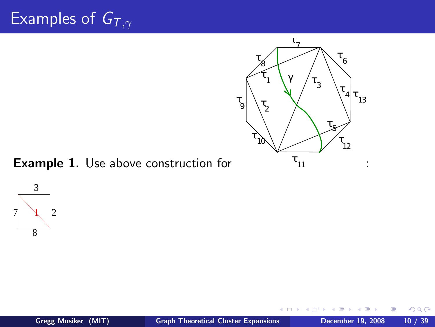

Example 1. Use above construction for



 $\leftarrow$   $\Box$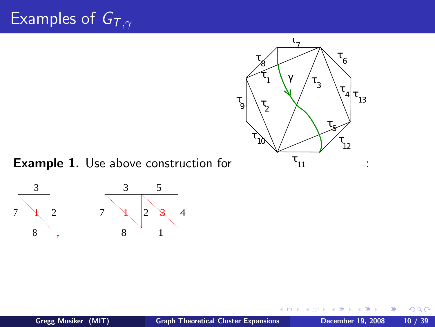

#### Example 1. Use above construction for



<span id="page-33-0"></span> $\leftarrow$   $\Box$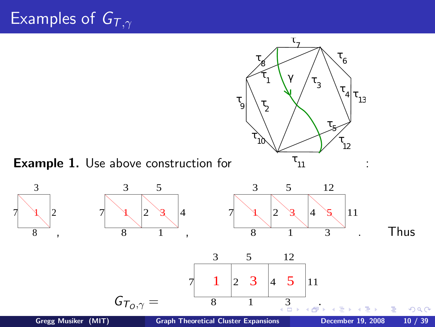<span id="page-34-0"></span>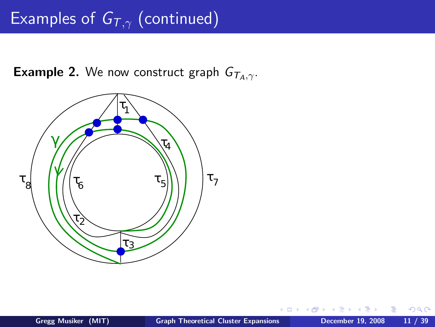# Examples of  $G_{T,\gamma}$  (continued)

**Example 2.** We now construct graph  $G_{\tau_A,\gamma}$ .

<span id="page-35-0"></span>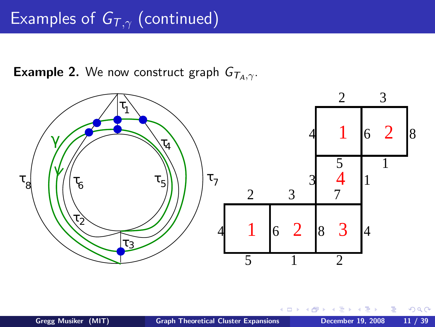# Examples of  $G_{T,\gamma}$  (continued)

**Example 2.** We now construct graph  $G_{\tau_A,\gamma}$ .



 $\Box$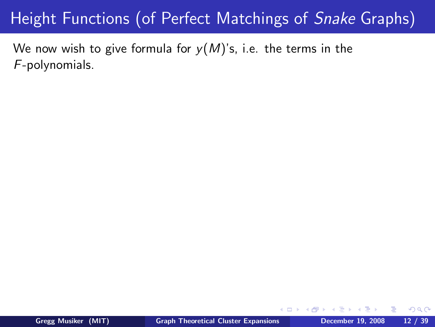We now wish to give formula for  $y(M)$ 's, i.e. the terms in the F-polynomials.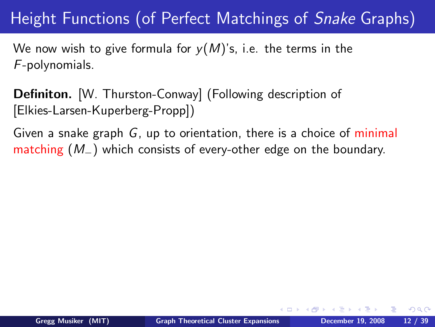We now wish to give formula for  $v(M)$ 's, i.e. the terms in the F-polynomials.

Definiton. [W. Thurston-Conway] (Following description of [Elkies-Larsen-Kuperberg-Propp])

Given a snake graph G, up to orientation, there is a choice of minimal matching (M−) which consists of every-other edge on the boundary.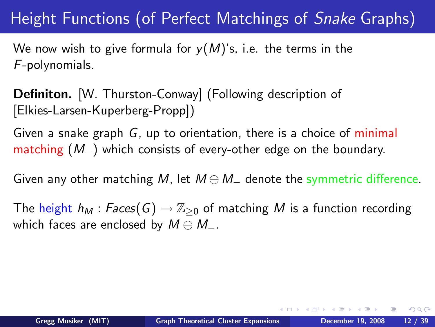We now wish to give formula for  $v(M)$ 's, i.e. the terms in the F-polynomials.

Definiton. [W. Thurston-Conway] (Following description of [Elkies-Larsen-Kuperberg-Propp])

Given a snake graph G, up to orientation, there is a choice of minimal matching (M−) which consists of every-other edge on the boundary.

Given any other matching M, let  $M \ominus M_{-}$  denote the symmetric difference.

The height  $h_M$  : Faces(G)  $\rightarrow \mathbb{Z}_{\geq 0}$  of matching M is a function recording which faces are enclosed by  $M \ominus M_-.$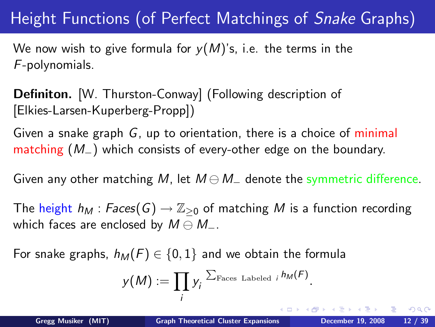We now wish to give formula for  $y(M)$ 's, i.e. the terms in the F-polynomials.

Definiton. [W. Thurston-Conway] (Following description of [Elkies-Larsen-Kuperberg-Propp])

Given a snake graph G, up to orientation, there is a choice of minimal matching (M−) which consists of every-other edge on the boundary.

Given any other matching M, let  $M \ominus M_{-}$  denote the symmetric difference.

The height  $h_M$  : Faces(G)  $\rightarrow \mathbb{Z}_{\geq 0}$  of matching M is a function recording which faces are enclosed by  $M \ominus M_-.$ 

For snake graphs,  $h_M(F) \in \{0,1\}$  and we obtain the formula

$$
y(M) := \prod_i y_i^{\sum_{\text{Faces Labeled } i} h_M(F)}.
$$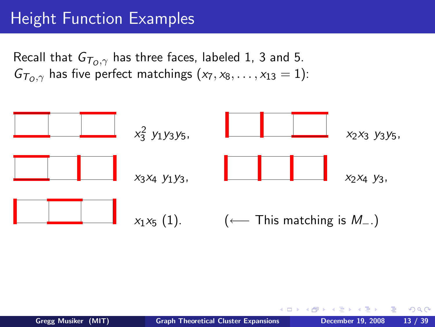# Height Function Examples

Recall that  $G_{T_0, \gamma}$  has three faces, labeled 1, 3 and 5.  $G_{\tau_0, \gamma}$  has five perfect matchings  $(x_7, x_8, \ldots, x_{13} = 1)$ :

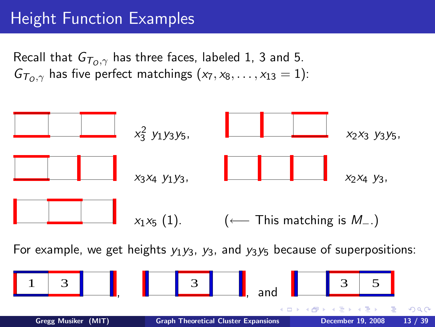## Height Function Examples

Recall that  $G_{T_0,\gamma}$  has three faces, labeled 1, 3 and 5.  $G_{\overline{I}_0,\gamma}$  has five perfect matchings  $(x_7, x_8, \ldots, x_{13} = 1)$ :



For example, we get heights  $y_1y_3$ ,  $y_3$ , and  $y_3y_5$  because of superpositions:

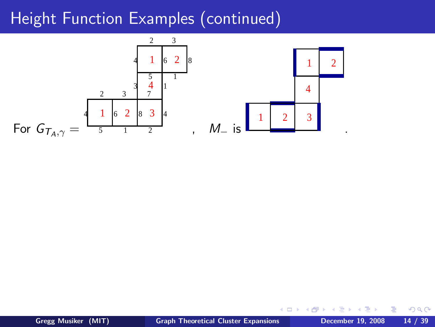

 $\leftarrow$ 

∍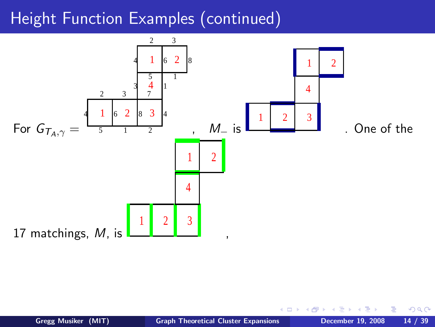

 $\Box$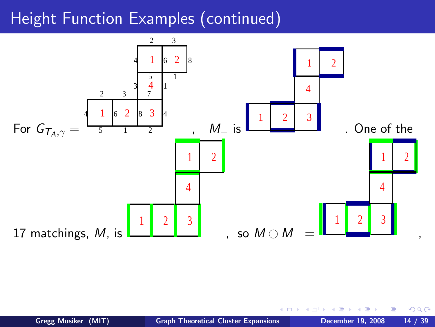

 $\Box$ 

 $QQ$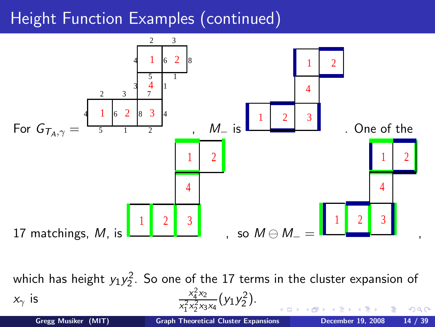

which has height  $y_1y_2^2$ . So one of the 17 terms in the cluster expansion of  $\frac{2}{4}x_2$  $x_{\gamma}$  is  $\frac{x}{x_{\gamma}^2}$  $\frac{x_4^2 x_2}{x_1^2 x_2^2 x_3 x_4} (y_1 y_2^2)$ . 1 2 つくへ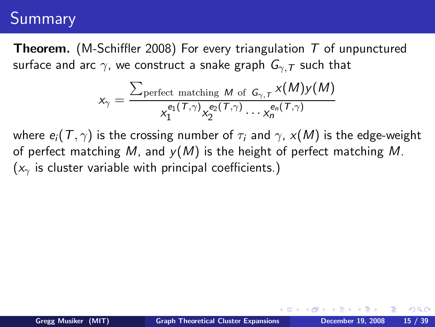### Summary

**Theorem.** (M-Schiffler 2008) For every triangulation  $T$  of unpunctured surface and arc  $\gamma$ , we construct a snake graph  $G_{\gamma,T}$  such that

$$
x_{\gamma} = \frac{\sum_{\text{perfect matching } M \text{ of } G_{\gamma, T}} x(M) y(M)}{x_1^{e_1(\mathcal{T}, \gamma)} x_2^{e_2(\mathcal{T}, \gamma)} \cdots x_n^{e_n(\mathcal{T}, \gamma)}}
$$

where  $e_i(T, \gamma)$  is the crossing number of  $\tau_i$  and  $\gamma$ ,  $x(M)$  is the edge-weight of perfect matching M, and  $y(M)$  is the height of perfect matching M.  $(x<sub>y</sub>)$  is cluster variable with principal coefficients.)

 $299$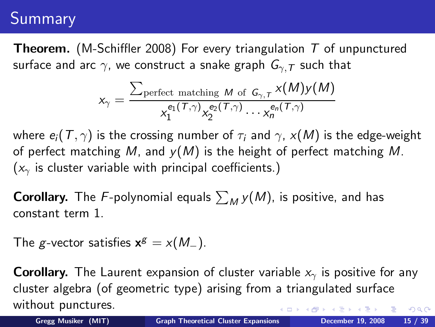### Summary

**Theorem.** (M-Schiffler 2008) For every triangulation  $T$  of unpunctured surface and arc  $\gamma$ , we construct a snake graph  $G_{\gamma,T}$  such that

$$
x_{\gamma} = \frac{\sum_{\text{perfect matching } M \text{ of } G_{\gamma, T}} x(M) y(M)}{x_1^{e_1(\mathcal{T}, \gamma)} x_2^{e_2(\mathcal{T}, \gamma)} \cdots x_n^{e_n(\mathcal{T}, \gamma)}}
$$

where  $e_i(T, \gamma)$  is the crossing number of  $\tau_i$  and  $\gamma$ ,  $x(M)$  is the edge-weight of perfect matching M, and  $y(M)$  is the height of perfect matching M.  $(x<sub>γ</sub>$  is cluster variable with principal coefficients.)

**Corollary.** The F-polynomial equals  $\sum_M y(M)$ , is positive, and has constant term 1.

The g-vector satisfies  $\mathbf{x}^g = x(M_-)$ .

**Corollary.** The Laurent expansion of cluster variable  $x<sub>γ</sub>$  is positive for any cluster algebra (of geometric type) arising from a triangulated surface without punctures.  $2990$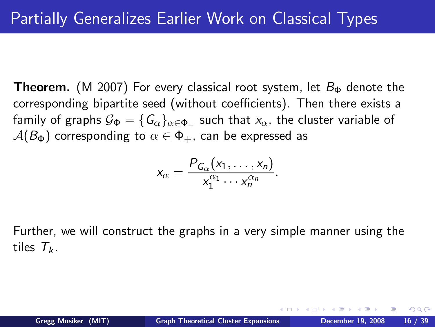**Theorem.** (M 2007) For every classical root system, let  $B_{\Phi}$  denote the corresponding bipartite seed (without coefficients). Then there exists a family of graphs  $\mathcal{G}_{\Phi}=\{ \mathcal{G}_{\alpha}\}_{\alpha\in\Phi_+}$  such that  $\mathsf{x}_{\alpha}$ , the cluster variable of  $A(B_{\Phi})$  corresponding to  $\alpha \in \Phi_{+}$ , can be expressed as

$$
x_{\alpha}=\frac{P_{G_{\alpha}}(x_1,\ldots,x_n)}{x_1^{\alpha_1}\cdots x_n^{\alpha_n}}.
$$

Further, we will construct the graphs in a very simple manner using the tiles  $T_k$ .

 $299$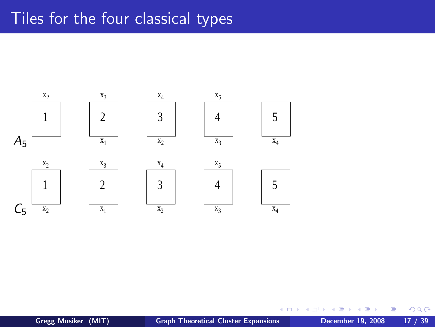#### Tiles for the four classical types



 $\leftarrow$ 

 $\rightarrow$ 

∍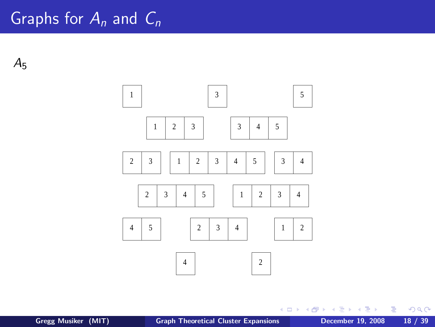$A<sub>5</sub>$ 



重  $\sim$ 

 $\sim$ 

 $\rightarrow$   $\equiv$   $\rightarrow$ 

**K ロ ▶ K 何 ▶** 

 $\equiv$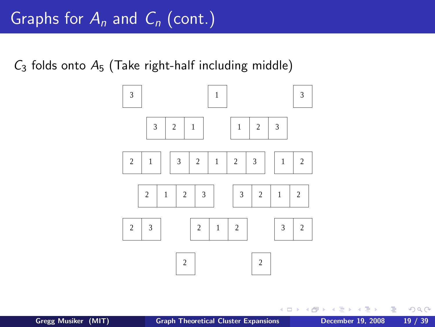$C_3$  folds onto  $A_5$  (Take right-half including middle)



 $\leftarrow$ 

 $\leftarrow$   $\Box$ 

Ε

 $QQ$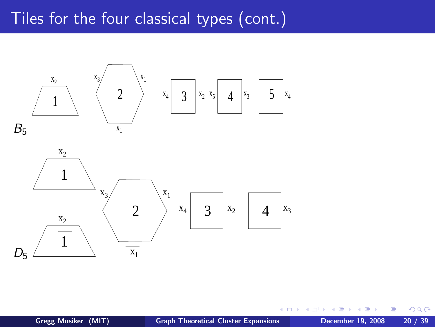### Tiles for the four classical types (cont.)





 $\Box$ 

つくへ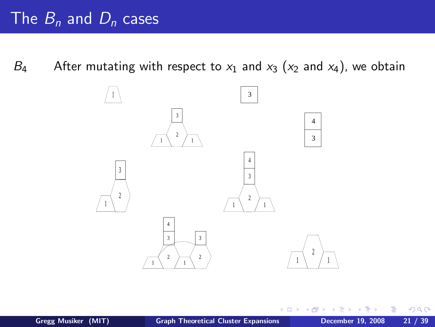B<sub>4</sub> After mutating with respect to  $x_1$  and  $x_3$  ( $x_2$  and  $x_4$ ), we obtain



 $\Box$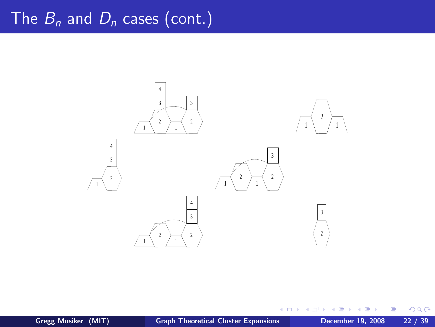

**€ □ >** 

∍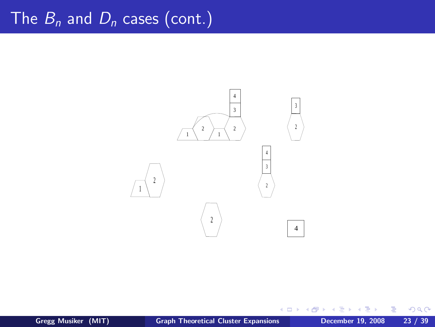

4 0 8

×.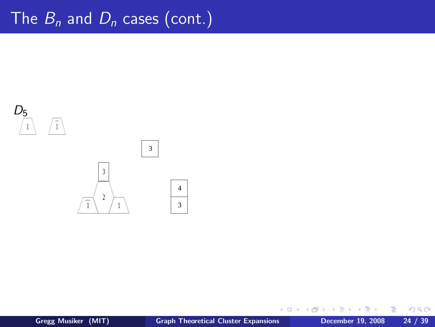

∍

€ □ >

×.

Ε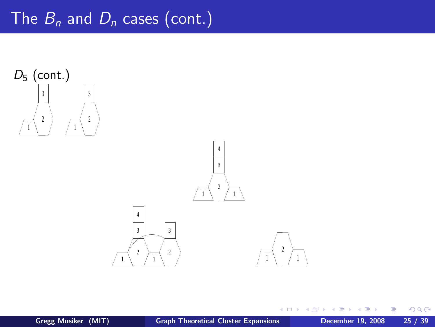



 $\leftarrow$ 

**B** 

∍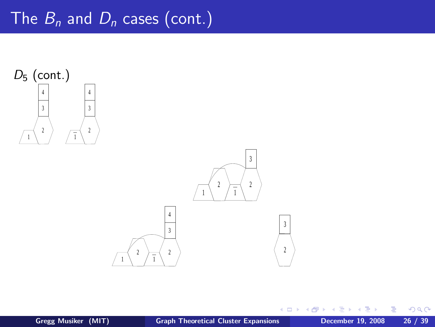



 $\leftarrow$ 

 $\rightarrow$ 

Ε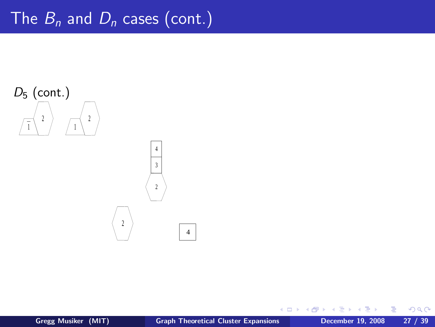

€ □ >

×.

Ε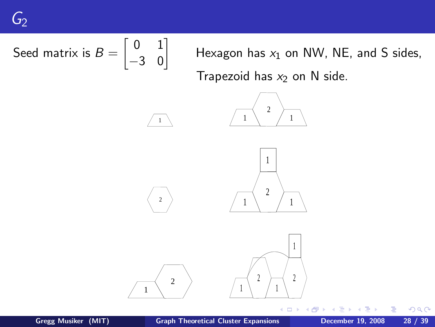Seed matrix is 
$$
B = \begin{bmatrix} 0 & 1 \\ -3 & 0 \end{bmatrix}
$$

\nHexagon has  $x_1$  on NW, NE, and S sides, Trapezoid has  $x_2$  on N side.

\n

÷. **D** 

 $\equiv$ 

 $299$ 

1

 $\leftarrow$   $\Box$ ←●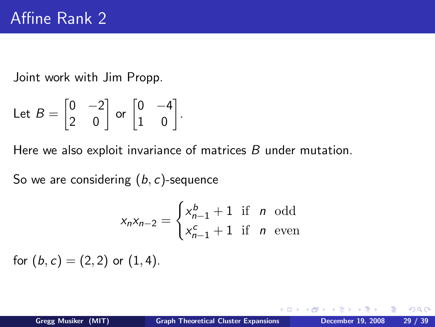Joint work with Jim Propp.

Let 
$$
B = \begin{bmatrix} 0 & -2 \\ 2 & 0 \end{bmatrix}
$$
 or  $\begin{bmatrix} 0 & -4 \\ 1 & 0 \end{bmatrix}$ .

Here we also exploit invariance of matrices B under mutation.

So we are considering  $(b, c)$ -sequence

$$
x_n x_{n-2} = \begin{cases} x_{n-1}^b + 1 & \text{if } n \text{ odd} \\ x_{n-1}^c + 1 & \text{if } n \text{ even} \end{cases}
$$

for  $(b, c) = (2, 2)$  or  $(1, 4)$ .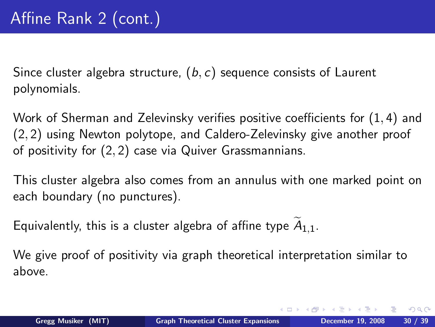Since cluster algebra structure,  $(b, c)$  sequence consists of Laurent polynomials.

Work of Sherman and Zelevinsky verifies positive coefficients for (1, 4) and (2, 2) using Newton polytope, and Caldero-Zelevinsky give another proof of positivity for (2, 2) case via Quiver Grassmannians.

This cluster algebra also comes from an annulus with one marked point on each boundary (no punctures).

Equivalently, this is a cluster algebra of affine type  $A_{1,1}$ .

We give proof of positivity via graph theoretical interpretation similar to above.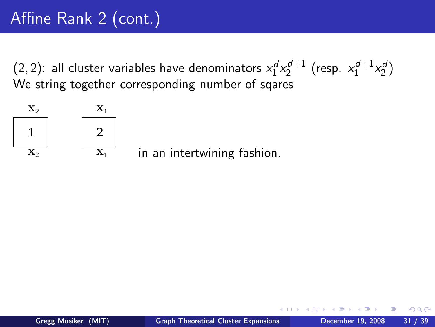$(2, 2)$ : all cluster variables have denominators  $x_1^d x_2^{d+1}$  (resp.  $x_1^{d+1} x_2^d$ ) We string together corresponding number of sqares



in an intertwining fashion.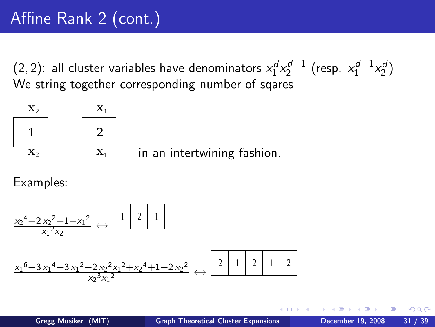$(2, 2)$ : all cluster variables have denominators  $x_1^d x_2^{d+1}$  (resp.  $x_1^{d+1} x_2^d$ ) We string together corresponding number of sqares



in an intertwining fashion.

Examples:

$$
\frac{x_2^4 + 2x_2^2 + 1 + x_1^2}{x_1^2 x_2} \leftrightarrow \frac{1 \quad 2 \quad 1}{1}
$$
\n
$$
\frac{x_1^6 + 3x_1^4 + 3x_1^2 + 2x_2^2 x_1^2 + x_2^4 + 1 + 2x_2^2}{x_2^3 x_1^2} \leftrightarrow \frac{2 \quad 1 \quad 2 \quad 1 \quad 2 \quad 1 \quad 2}
$$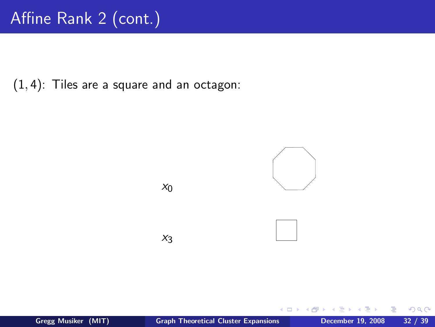$(1, 4)$ : Tiles are a square and an octagon:



 $\leftarrow$   $\Box$ 

∍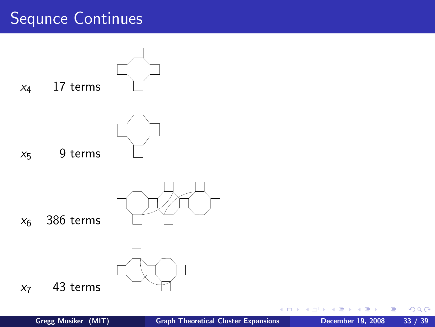# Sequnce Continues



重

Ε

4 0 8 ∢母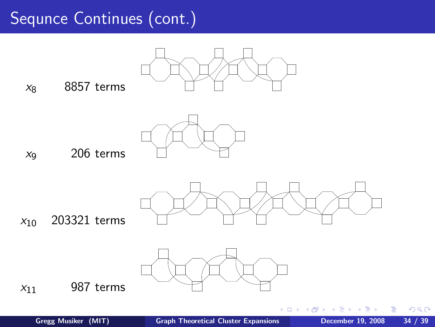## Sequnce Continues (cont.)



 $299$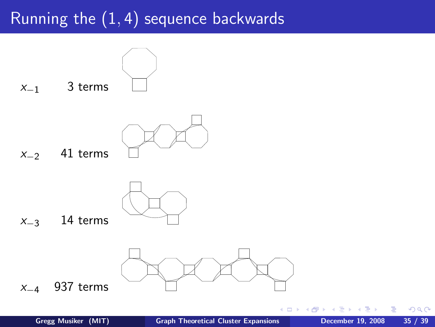# Running the  $(1, 4)$  sequence backwards



∍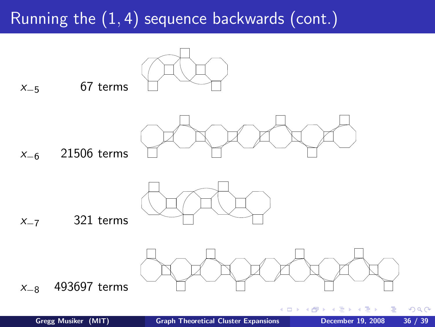# Running the (1, 4) sequence backwards (cont.)



 $x_{-5}$  67 terms



x−<sup>6</sup> 21506 terms



 $x_{-7}$  321 terms



€ □ >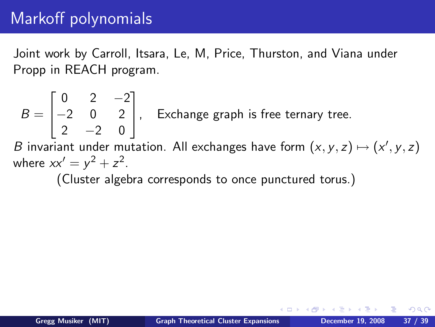# Markoff polynomials

Joint work by Carroll, Itsara, Le, M, Price, Thurston, and Viana under Propp in REACH program.

$$
B = \begin{bmatrix} 0 & 2 & -2 \\ -2 & 0 & 2 \\ 2 & -2 & 0 \end{bmatrix}
$$
, Exchange graph is free ternary tree.

B invariant under mutation. All exchanges have form  $(x, y, z) \mapsto (x', y, z)$ where  $xx' = y^2 + z^2$ .

(Cluster algebra corresponds to once punctured torus.)

つくへ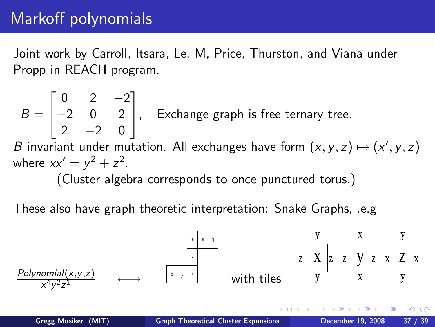## Markoff polynomials

Joint work by Carroll, Itsara, Le, M, Price, Thurston, and Viana under Propp in REACH program.

$$
B = \begin{bmatrix} 0 & 2 & -2 \\ -2 & 0 & 2 \\ 2 & -2 & 0 \end{bmatrix}
$$
, Exchange graph is free ternary tree.  
B invariant under mutation. All exchanges have form  $(x, y, z) \mapsto (x, y, z)$ 

 $', y, z)$ where  $xx' = y^2 + z^2$ .

(Cluster algebra corresponds to once punctured torus.)

These also have graph theoretic interpretation: Snake Graphs, .e.g

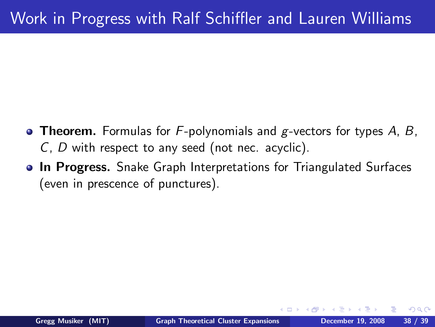- **Theorem.** Formulas for  $F$ -polynomials and g-vectors for types A, B, C, D with respect to any seed (not nec. acyclic).
- **In Progress.** Snake Graph Interpretations for Triangulated Surfaces (even in prescence of punctures).